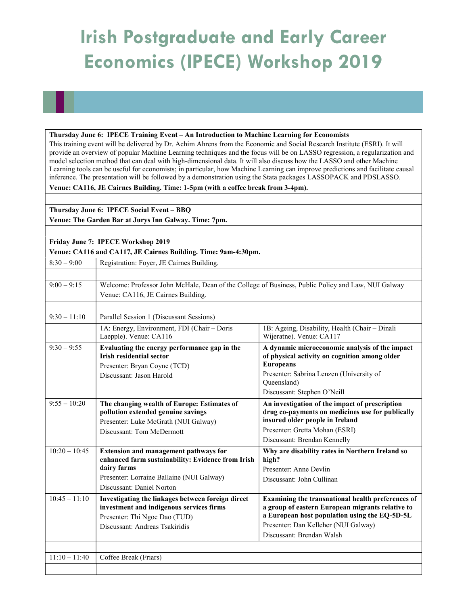## Irish Postgraduate and Early Career Economics (IPECE) Workshop 2019

## Thursday June 6: IPECE Training Event – An Introduction to Machine Learning for Economists

This training event will be delivered by Dr. Achim Ahrens from the Economic and Social Research Institute (ESRI). It will provide an overview of popular Machine Learning techniques and the focus will be on LASSO regression, a regularization and model selection method that can deal with high-dimensional data. It will also discuss how the LASSO and other Machine Learning tools can be useful for economists; in particular, how Machine Learning can improve predictions and facilitate causal inference. The presentation will be followed by a demonstration using the Stata packages LASSOPACK and PDSLASSO.

Venue: CA116, JE Cairnes Building. Time: 1-5pm (with a coffee break from 3-4pm).

Thursday June 6: IPECE Social Event – BBQ Venue: The Garden Bar at Jurys Inn Galway. Time: 7pm.

Friday June 7: IPECE Workshop 2019 Venue: CA116 and CA117, JE Cairnes Building. Time: 9am-4:30pm.

| $8:30 - 9:00$   | Registration: Foyer, JE Cairnes Building.                                                                                                                        |                                                                                                                                                                                                |  |
|-----------------|------------------------------------------------------------------------------------------------------------------------------------------------------------------|------------------------------------------------------------------------------------------------------------------------------------------------------------------------------------------------|--|
|                 |                                                                                                                                                                  |                                                                                                                                                                                                |  |
| $9:00 - 9:15$   | Welcome: Professor John McHale, Dean of the College of Business, Public Policy and Law, NUI Galway                                                               |                                                                                                                                                                                                |  |
|                 | Venue: CA116, JE Cairnes Building.                                                                                                                               |                                                                                                                                                                                                |  |
|                 |                                                                                                                                                                  |                                                                                                                                                                                                |  |
| $9:30 - 11:10$  | Parallel Session 1 (Discussant Sessions)                                                                                                                         |                                                                                                                                                                                                |  |
|                 | 1A: Energy, Environment, FDI (Chair - Doris<br>Laepple). Venue: CA116                                                                                            | 1B: Ageing, Disability, Health (Chair - Dinali<br>Wijeratne). Venue: CA117                                                                                                                     |  |
| $9:30 - 9:55$   | Evaluating the energy performance gap in the<br><b>Irish residential sector</b>                                                                                  | A dynamic microeconomic analysis of the impact<br>of physical activity on cognition among older                                                                                                |  |
|                 | Presenter: Bryan Coyne (TCD)                                                                                                                                     | <b>Europeans</b>                                                                                                                                                                               |  |
|                 | Discussant: Jason Harold                                                                                                                                         | Presenter: Sabrina Lenzen (University of<br>Queensland)                                                                                                                                        |  |
|                 |                                                                                                                                                                  | Discussant: Stephen O'Neill                                                                                                                                                                    |  |
| $9:55 - 10:20$  | The changing wealth of Europe: Estimates of<br>pollution extended genuine savings<br>Presenter: Luke McGrath (NUI Galway)                                        | An investigation of the impact of prescription<br>drug co-payments on medicines use for publically<br>insured older people in Ireland                                                          |  |
|                 | Discussant: Tom McDermott                                                                                                                                        | Presenter: Gretta Mohan (ESRI)                                                                                                                                                                 |  |
|                 |                                                                                                                                                                  | Discussant: Brendan Kennelly                                                                                                                                                                   |  |
| $10:20 - 10:45$ | <b>Extension and management pathways for</b><br>enhanced farm sustainability: Evidence from Irish                                                                | Why are disability rates in Northern Ireland so<br>high?                                                                                                                                       |  |
|                 | dairy farms                                                                                                                                                      | Presenter: Anne Devlin                                                                                                                                                                         |  |
|                 | Presenter: Lorraine Ballaine (NUI Galway)<br>Discussant: Daniel Norton                                                                                           | Discussant: John Cullinan                                                                                                                                                                      |  |
| $10:45 - 11:10$ | Investigating the linkages between foreign direct<br>investment and indigenous services firms<br>Presenter: Thi Ngoc Dao (TUD)<br>Discussant: Andreas Tsakiridis | Examining the transnational health preferences of<br>a group of eastern European migrants relative to<br>a European host population using the EQ-5D-5L<br>Presenter: Dan Kelleher (NUI Galway) |  |
|                 |                                                                                                                                                                  | Discussant: Brendan Walsh                                                                                                                                                                      |  |
|                 |                                                                                                                                                                  |                                                                                                                                                                                                |  |
| $11:10 - 11:40$ | Coffee Break (Friars)                                                                                                                                            |                                                                                                                                                                                                |  |
|                 |                                                                                                                                                                  |                                                                                                                                                                                                |  |
|                 |                                                                                                                                                                  |                                                                                                                                                                                                |  |